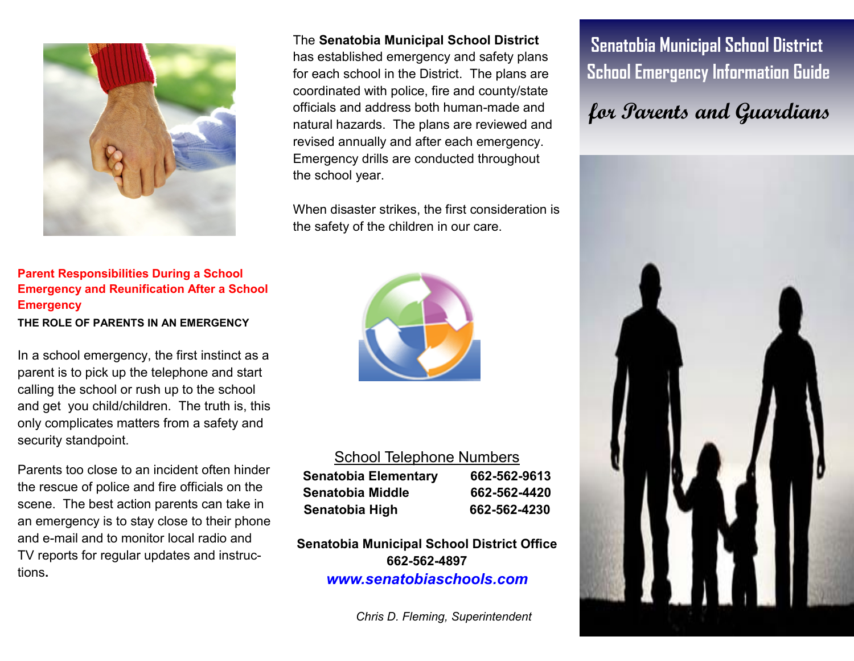

#### **Parent Responsibilities During a School Emergency and Reunification After a School Emergency THE ROLE OF PARENTS IN AN EMERGENCY**

In a school emergency, the first instinct as a parent is to pick up the telephone and start calling the school or rush up to the school and get you child/children. The truth is, this only complicates matters from a safety and security standpoint.

Parents too close to an incident often hinder the rescue of police and fire officials on the scene. The best action parents can take in an emergency is to stay close to their phone and e-mail and to monitor local radio and TV reports for regular updates and instructions**.** 

The **Senatobia Municipal School District** 

has established emergency and safety plans for each school in the District. The plans are coordinated with police, fire and county/state officials and address both human-made and natural hazards. The plans are reviewed and revised annually and after each emergency. Emergency drills are conducted throughout the school year.

When disaster strikes, the first consideration is the safety of the children in our care.



#### School Telephone Numbers

| Senatobia Elementary | 662-562-9613 |
|----------------------|--------------|
| Senatobia Middle     | 662-562-4420 |
| Senatobia High       | 662-562-4230 |

**Senatobia Municipal School District Office 662-562-4897**  *www.senatobiaschools.com* 

*Chris D. Fleming, Superintendent* 

 **Senatobia Municipal School District School Emergency Information Guide** 

# **for Parents and Guardians**